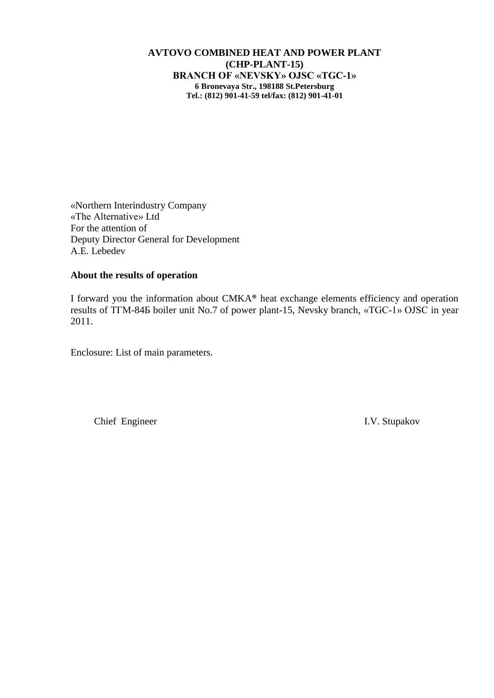## **AVTOVO COMBINED HEAT AND POWER PLANT (CHP-PLANT-15) BRANCH OF «NEVSKY» OJSC «TGC-1» 6 Bronevaya Str., 198188 St.Petersburg Tel.: (812) 901-41-59 tel/fax: (812) 901-41-01**

«Northern Interindustry Company «The Alternative» Ltd For the attention of Deputy Director General for Development A.E. Lebedev

## **About the results of operation**

I forward you the information about CMKA® heat exchange elements efficiency and operation results of ТГМ-84Б boiler unit No.7 of power plant-15, Nevsky branch, «TGC-1» OJSC in year 2011.

Enclosure: List of main parameters.

Chief Engineer I.V. Stupakov